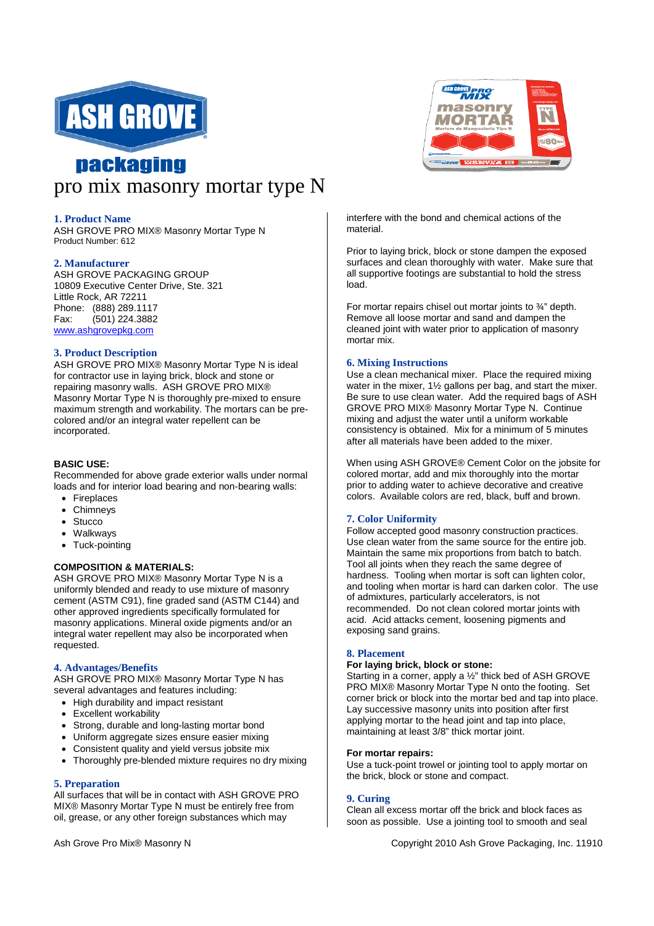

# **nackaging** pro mix masonry mortar type N

## **1. Product Name**

ASH GROVE PRO MIX® Masonry Mortar Type N Product Number: 612

#### **2. Manufacturer**

ASH GROVE PACKAGING GROUP 10809 Executive Center Drive, Ste. 321 Little Rock, AR 72211 Phone: (888) 289.1117 Fax: (501) 224.3882 www.ashgrovepkg.com

## **3. Product Description**

ASH GROVE PRO MIX® Masonry Mortar Type N is ideal for contractor use in laying brick, block and stone or repairing masonry walls. ASH GROVE PRO MIX® Masonry Mortar Type N is thoroughly pre-mixed to ensure maximum strength and workability. The mortars can be precolored and/or an integral water repellent can be incorporated.

## **BASIC USE:**

Recommended for above grade exterior walls under normal loads and for interior load bearing and non-bearing walls:

- Fireplaces
- Chimneys
- Stucco
- Walkways
- Tuck-pointing

# **COMPOSITION & MATERIALS:**

ASH GROVE PRO MIX® Masonry Mortar Type N is a uniformly blended and ready to use mixture of masonry cement (ASTM C91), fine graded sand (ASTM C144) and other approved ingredients specifically formulated for masonry applications. Mineral oxide pigments and/or an integral water repellent may also be incorporated when requested.

# **4. Advantages/Benefits**

ASH GROVE PRO MIX® Masonry Mortar Type N has several advantages and features including:

- High durability and impact resistant
- Excellent workability
- Strong, durable and long-lasting mortar bond
- Uniform aggregate sizes ensure easier mixing
- Consistent quality and yield versus jobsite mix
- Thoroughly pre-blended mixture requires no dry mixing

#### **5. Preparation**

All surfaces that will be in contact with ASH GROVE PRO MIX® Masonry Mortar Type N must be entirely free from oil, grease, or any other foreign substances which may



interfere with the bond and chemical actions of the material.

Prior to laying brick, block or stone dampen the exposed surfaces and clean thoroughly with water. Make sure that all supportive footings are substantial to hold the stress load.

For mortar repairs chisel out mortar joints to ¾" depth. Remove all loose mortar and sand and dampen the cleaned joint with water prior to application of masonry mortar mix.

# **6. Mixing Instructions**

Use a clean mechanical mixer. Place the required mixing water in the mixer, 1½ gallons per bag, and start the mixer. Be sure to use clean water. Add the required bags of ASH GROVE PRO MIX® Masonry Mortar Type N. Continue mixing and adjust the water until a uniform workable consistency is obtained. Mix for a minimum of 5 minutes after all materials have been added to the mixer.

When using ASH GROVE® Cement Color on the jobsite for colored mortar, add and mix thoroughly into the mortar prior to adding water to achieve decorative and creative colors. Available colors are red, black, buff and brown.

# **7. Color Uniformity**

Follow accepted good masonry construction practices. Use clean water from the same source for the entire job. Maintain the same mix proportions from batch to batch. Tool all joints when they reach the same degree of hardness. Tooling when mortar is soft can lighten color, and tooling when mortar is hard can darken color. The use of admixtures, particularly accelerators, is not recommended. Do not clean colored mortar joints with acid. Acid attacks cement, loosening pigments and exposing sand grains.

#### **8. Placement**

#### **For laying brick, block or stone:**

Starting in a corner, apply a ½" thick bed of ASH GROVE PRO MIX® Masonry Mortar Type N onto the footing. Set corner brick or block into the mortar bed and tap into place. Lay successive masonry units into position after first applying mortar to the head joint and tap into place, maintaining at least 3/8" thick mortar joint.

#### **For mortar repairs:**

Use a tuck-point trowel or jointing tool to apply mortar on the brick, block or stone and compact.

#### **9. Curing**

Clean all excess mortar off the brick and block faces as soon as possible. Use a jointing tool to smooth and seal

#### Ash Grove Pro Mix® Masonry N Copyright 2010 Ash Grove Packaging, Inc. 11910